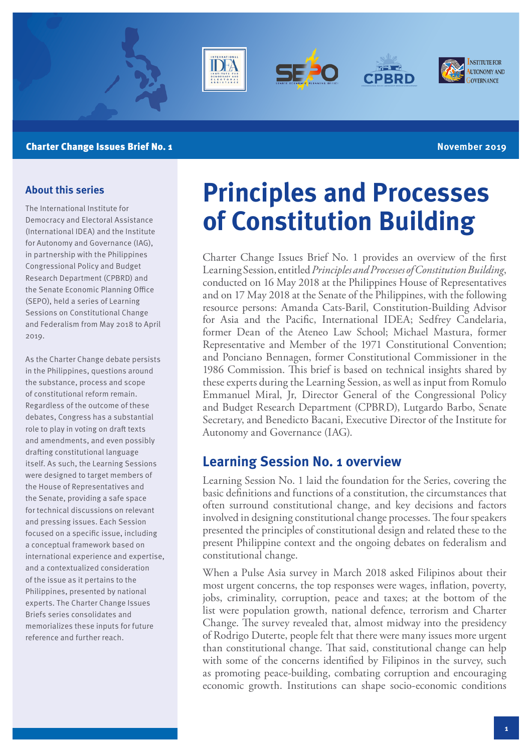

#### **Charter Change Issues Brief No. 1 November 2019 Charter Change Issues Brief No. 1**

#### **About this series**

The International Institute for Democracy and Electoral Assistance (International IDEA) and the Institute for Autonomy and Governance (IAG), in partnership with the Philippines Congressional Policy and Budget Research Department (CPBRD) and the Senate Economic Planning Office (SEPO), held a series of Learning Sessions on Constitutional Change and Federalism from May 2018 to April 2019.

As the Charter Change debate persists in the Philippines, questions around the substance, process and scope of constitutional reform remain. Regardless of the outcome of these debates, Congress has a substantial role to play in voting on draft texts and amendments, and even possibly drafting constitutional language itself. As such, the Learning Sessions were designed to target members of the House of Representatives and the Senate, providing a safe space for technical discussions on relevant and pressing issues. Each Session focused on a specific issue, including a conceptual framework based on international experience and expertise, and a contextualized consideration of the issue as it pertains to the Philippines, presented by national experts. The Charter Change Issues Briefs series consolidates and memorializes these inputs for future reference and further reach.

# **Principles and Processes of Constitution Building**

Charter Change Issues Brief No. 1 provides an overview of the first Learning Session, entitled *Principles and Processes of Constitution Building*, conducted on 16 May 2018 at the Philippines House of Representatives and on 17 May 2018 at the Senate of the Philippines, with the following resource persons: Amanda Cats-Baril, Constitution-Building Advisor for Asia and the Pacific, International IDEA; Sedfrey Candelaria, former Dean of the Ateneo Law School; Michael Mastura, former Representative and Member of the 1971 Constitutional Convention; and Ponciano Bennagen, former Constitutional Commissioner in the 1986 Commission. This brief is based on technical insights shared by these experts during the Learning Session, as well as input from Romulo Emmanuel Miral, Jr, Director General of the Congressional Policy and Budget Research Department (CPBRD), Lutgardo Barbo, Senate Secretary, and Benedicto Bacani, Executive Director of the Institute for Autonomy and Governance (IAG).

# **Learning Session No. 1 overview**

Learning Session No. 1 laid the foundation for the Series, covering the basic definitions and functions of a constitution, the circumstances that often surround constitutional change, and key decisions and factors involved in designing constitutional change processes. The four speakers presented the principles of constitutional design and related these to the present Philippine context and the ongoing debates on federalism and constitutional change.

When a Pulse Asia survey in March 2018 asked Filipinos about their most urgent concerns, the top responses were wages, inflation, poverty, jobs, criminality, corruption, peace and taxes; at the bottom of the list were population growth, national defence, terrorism and Charter Change. The survey revealed that, almost midway into the presidency of Rodrigo Duterte, people felt that there were many issues more urgent than constitutional change. That said, constitutional change can help with some of the concerns identified by Filipinos in the survey, such as promoting peace-building, combating corruption and encouraging economic growth. Institutions can shape socio-economic conditions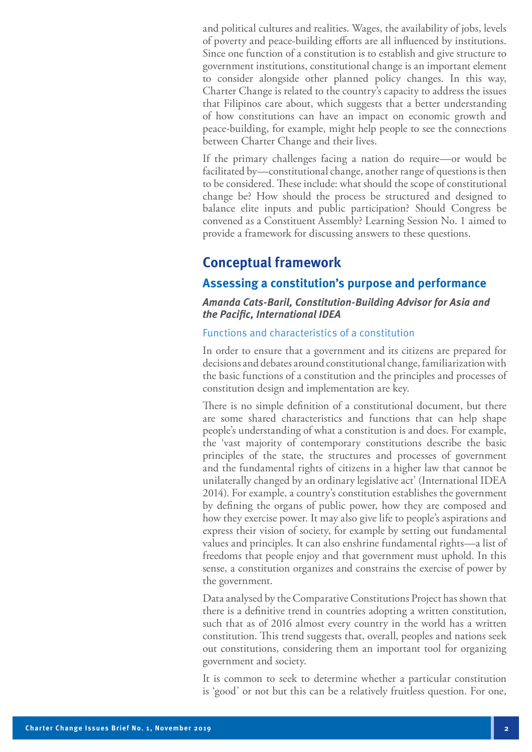and political cultures and realities. Wages, the availability of jobs, levels of poverty and peace-building efforts are all influenced by institutions. Since one function of a constitution is to establish and give structure to government institutions, constitutional change is an important element to consider alongside other planned policy changes. In this way, Charter Change is related to the country's capacity to address the issues that Filipinos care about, which suggests that a better understanding of how constitutions can have an impact on economic growth and peace-building, for example, might help people to see the connections between Charter Change and their lives.

If the primary challenges facing a nation do require—or would be facilitated by—constitutional change, another range of questions is then to be considered. These include: what should the scope of constitutional change be? How should the process be structured and designed to balance elite inputs and public participation? Should Congress be convened as a Constituent Assembly? Learning Session No. 1 aimed to provide a framework for discussing answers to these questions.

# **Conceptual framework**

#### **Assessing a constitution's purpose and performance**

#### **Amanda Cats-Baril, Constitution-Building Advisor for Asia and the Pacific, International IDEA**

#### Functions and characteristics of a constitution

In order to ensure that a government and its citizens are prepared for decisions and debates around constitutional change, familiarization with the basic functions of a constitution and the principles and processes of constitution design and implementation are key.

There is no simple definition of a constitutional document, but there are some shared characteristics and functions that can help shape people's understanding of what a constitution is and does. For example, the 'vast majority of contemporary constitutions describe the basic principles of the state, the structures and processes of government and the fundamental rights of citizens in a higher law that cannot be unilaterally changed by an ordinary legislative act' (International IDEA 2014). For example, a country's constitution establishes the government by defining the organs of public power, how they are composed and how they exercise power. It may also give life to people's aspirations and express their vision of society, for example by setting out fundamental values and principles. It can also enshrine fundamental rights—a list of freedoms that people enjoy and that government must uphold. In this sense, a constitution organizes and constrains the exercise of power by the government.

Data analysed by the Comparative Constitutions Project has shown that there is a definitive trend in countries adopting a written constitution, such that as of 2016 almost every country in the world has a written constitution. This trend suggests that, overall, peoples and nations seek out constitutions, considering them an important tool for organizing government and society.

It is common to seek to determine whether a particular constitution is 'good' or not but this can be a relatively fruitless question. For one,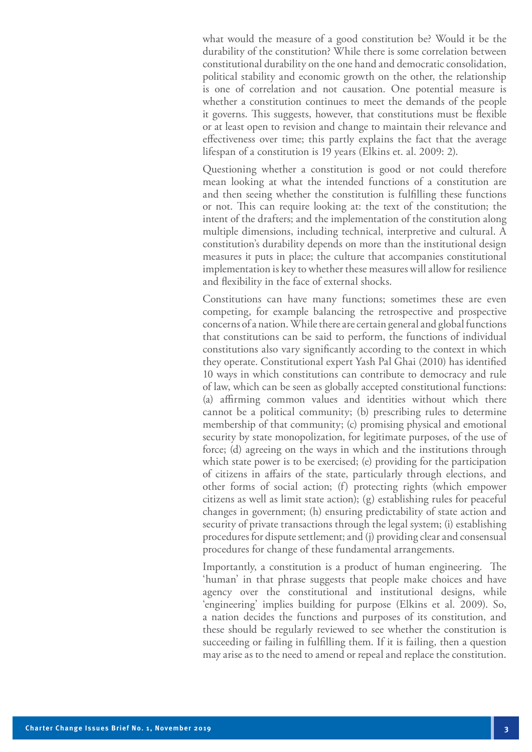what would the measure of a good constitution be? Would it be the durability of the constitution? While there is some correlation between constitutional durability on the one hand and democratic consolidation, political stability and economic growth on the other, the relationship is one of correlation and not causation. One potential measure is whether a constitution continues to meet the demands of the people it governs. This suggests, however, that constitutions must be flexible or at least open to revision and change to maintain their relevance and effectiveness over time; this partly explains the fact that the average lifespan of a constitution is 19 years (Elkins et. al. 2009: 2).

Questioning whether a constitution is good or not could therefore mean looking at what the intended functions of a constitution are and then seeing whether the constitution is fulfilling these functions or not. This can require looking at: the text of the constitution; the intent of the drafters; and the implementation of the constitution along multiple dimensions, including technical, interpretive and cultural. A constitution's durability depends on more than the institutional design measures it puts in place; the culture that accompanies constitutional implementation is key to whether these measures will allow for resilience and flexibility in the face of external shocks.

Constitutions can have many functions; sometimes these are even competing, for example balancing the retrospective and prospective concerns of a nation. While there are certain general and global functions that constitutions can be said to perform, the functions of individual constitutions also vary significantly according to the context in which they operate. Constitutional expert Yash Pal Ghai (2010) has identified 10 ways in which constitutions can contribute to democracy and rule of law, which can be seen as globally accepted constitutional functions: (a) affirming common values and identities without which there cannot be a political community; (b) prescribing rules to determine membership of that community; (c) promising physical and emotional security by state monopolization, for legitimate purposes, of the use of force; (d) agreeing on the ways in which and the institutions through which state power is to be exercised; (e) providing for the participation of citizens in affairs of the state, particularly through elections, and other forms of social action; (f) protecting rights (which empower citizens as well as limit state action); (g) establishing rules for peaceful changes in government; (h) ensuring predictability of state action and security of private transactions through the legal system; (i) establishing procedures for dispute settlement; and (j) providing clear and consensual procedures for change of these fundamental arrangements.

Importantly, a constitution is a product of human engineering. The 'human' in that phrase suggests that people make choices and have agency over the constitutional and institutional designs, while 'engineering' implies building for purpose (Elkins et al. 2009). So, a nation decides the functions and purposes of its constitution, and these should be regularly reviewed to see whether the constitution is succeeding or failing in fulfilling them. If it is failing, then a question may arise as to the need to amend or repeal and replace the constitution.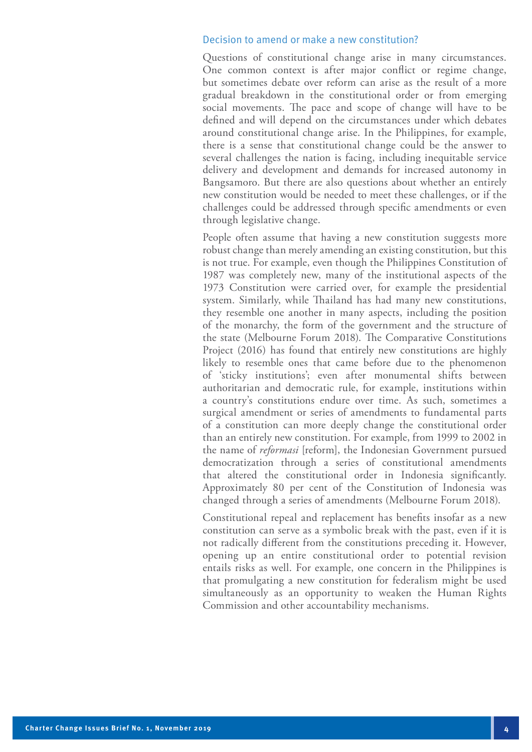#### Decision to amend or make a new constitution?

Questions of constitutional change arise in many circumstances. One common context is after major conflict or regime change, but sometimes debate over reform can arise as the result of a more gradual breakdown in the constitutional order or from emerging social movements. The pace and scope of change will have to be defined and will depend on the circumstances under which debates around constitutional change arise. In the Philippines, for example, there is a sense that constitutional change could be the answer to several challenges the nation is facing, including inequitable service delivery and development and demands for increased autonomy in Bangsamoro. But there are also questions about whether an entirely new constitution would be needed to meet these challenges, or if the challenges could be addressed through specific amendments or even through legislative change.

People often assume that having a new constitution suggests more robust change than merely amending an existing constitution, but this is not true. For example, even though the Philippines Constitution of 1987 was completely new, many of the institutional aspects of the 1973 Constitution were carried over, for example the presidential system. Similarly, while Thailand has had many new constitutions, they resemble one another in many aspects, including the position of the monarchy, the form of the government and the structure of the state (Melbourne Forum 2018). The Comparative Constitutions Project (2016) has found that entirely new constitutions are highly likely to resemble ones that came before due to the phenomenon of 'sticky institutions'; even after monumental shifts between authoritarian and democratic rule, for example, institutions within a country's constitutions endure over time. As such, sometimes a surgical amendment or series of amendments to fundamental parts of a constitution can more deeply change the constitutional order than an entirely new constitution. For example, from 1999 to 2002 in the name of *reformasi* [reform], the Indonesian Government pursued democratization through a series of constitutional amendments that altered the constitutional order in Indonesia significantly. Approximately 80 per cent of the Constitution of Indonesia was changed through a series of amendments (Melbourne Forum 2018).

Constitutional repeal and replacement has benefits insofar as a new constitution can serve as a symbolic break with the past, even if it is not radically different from the constitutions preceding it. However, opening up an entire constitutional order to potential revision entails risks as well. For example, one concern in the Philippines is that promulgating a new constitution for federalism might be used simultaneously as an opportunity to weaken the Human Rights Commission and other accountability mechanisms.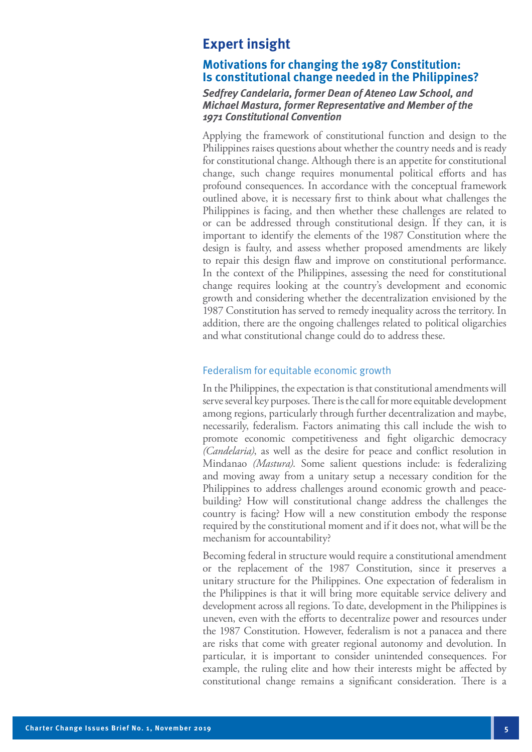# **Expert insight**

#### **Motivations for changing the 1987 Constitution: Is constitutional change needed in the Philippines?**

#### **Sedfrey Candelaria, former Dean of Ateneo Law School, and Michael Mastura, former Representative and Member of the 1971 Constitutional Convention**

Applying the framework of constitutional function and design to the Philippines raises questions about whether the country needs and is ready for constitutional change. Although there is an appetite for constitutional change, such change requires monumental political efforts and has profound consequences. In accordance with the conceptual framework outlined above, it is necessary first to think about what challenges the Philippines is facing, and then whether these challenges are related to or can be addressed through constitutional design. If they can, it is important to identify the elements of the 1987 Constitution where the design is faulty, and assess whether proposed amendments are likely to repair this design flaw and improve on constitutional performance. In the context of the Philippines, assessing the need for constitutional change requires looking at the country's development and economic growth and considering whether the decentralization envisioned by the 1987 Constitution has served to remedy inequality across the territory. In addition, there are the ongoing challenges related to political oligarchies and what constitutional change could do to address these.

#### Federalism for equitable economic growth

In the Philippines, the expectation is that constitutional amendments will serve several key purposes. There is the call for more equitable development among regions, particularly through further decentralization and maybe, necessarily, federalism. Factors animating this call include the wish to promote economic competitiveness and fight oligarchic democracy *(Candelaria)*, as well as the desire for peace and conflict resolution in Mindanao *(Mastura)*. Some salient questions include: is federalizing and moving away from a unitary setup a necessary condition for the Philippines to address challenges around economic growth and peacebuilding? How will constitutional change address the challenges the country is facing? How will a new constitution embody the response required by the constitutional moment and if it does not, what will be the mechanism for accountability?

Becoming federal in structure would require a constitutional amendment or the replacement of the 1987 Constitution, since it preserves a unitary structure for the Philippines. One expectation of federalism in the Philippines is that it will bring more equitable service delivery and development across all regions. To date, development in the Philippines is uneven, even with the efforts to decentralize power and resources under the 1987 Constitution. However, federalism is not a panacea and there are risks that come with greater regional autonomy and devolution. In particular, it is important to consider unintended consequences. For example, the ruling elite and how their interests might be affected by constitutional change remains a significant consideration. There is a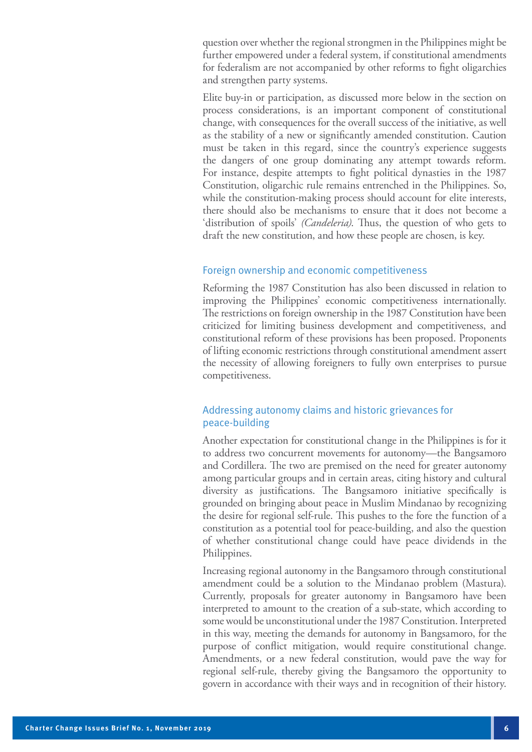question over whether the regional strongmen in the Philippines might be further empowered under a federal system, if constitutional amendments for federalism are not accompanied by other reforms to fight oligarchies and strengthen party systems.

Elite buy-in or participation, as discussed more below in the section on process considerations, is an important component of constitutional change, with consequences for the overall success of the initiative, as well as the stability of a new or significantly amended constitution. Caution must be taken in this regard, since the country's experience suggests the dangers of one group dominating any attempt towards reform. For instance, despite attempts to fight political dynasties in the 1987 Constitution, oligarchic rule remains entrenched in the Philippines. So, while the constitution-making process should account for elite interests, there should also be mechanisms to ensure that it does not become a 'distribution of spoils' *(Candeleria)*. Thus, the question of who gets to draft the new constitution, and how these people are chosen, is key.

#### Foreign ownership and economic competitiveness

Reforming the 1987 Constitution has also been discussed in relation to improving the Philippines' economic competitiveness internationally. The restrictions on foreign ownership in the 1987 Constitution have been criticized for limiting business development and competitiveness, and constitutional reform of these provisions has been proposed. Proponents of lifting economic restrictions through constitutional amendment assert the necessity of allowing foreigners to fully own enterprises to pursue competitiveness.

#### Addressing autonomy claims and historic grievances for peace-building

Another expectation for constitutional change in the Philippines is for it to address two concurrent movements for autonomy—the Bangsamoro and Cordillera. The two are premised on the need for greater autonomy among particular groups and in certain areas, citing history and cultural diversity as justifications. The Bangsamoro initiative specifically is grounded on bringing about peace in Muslim Mindanao by recognizing the desire for regional self-rule. This pushes to the fore the function of a constitution as a potential tool for peace-building, and also the question of whether constitutional change could have peace dividends in the Philippines.

Increasing regional autonomy in the Bangsamoro through constitutional amendment could be a solution to the Mindanao problem (Mastura). Currently, proposals for greater autonomy in Bangsamoro have been interpreted to amount to the creation of a sub-state, which according to some would be unconstitutional under the 1987 Constitution. Interpreted in this way, meeting the demands for autonomy in Bangsamoro, for the purpose of conflict mitigation, would require constitutional change. Amendments, or a new federal constitution, would pave the way for regional self-rule, thereby giving the Bangsamoro the opportunity to govern in accordance with their ways and in recognition of their history.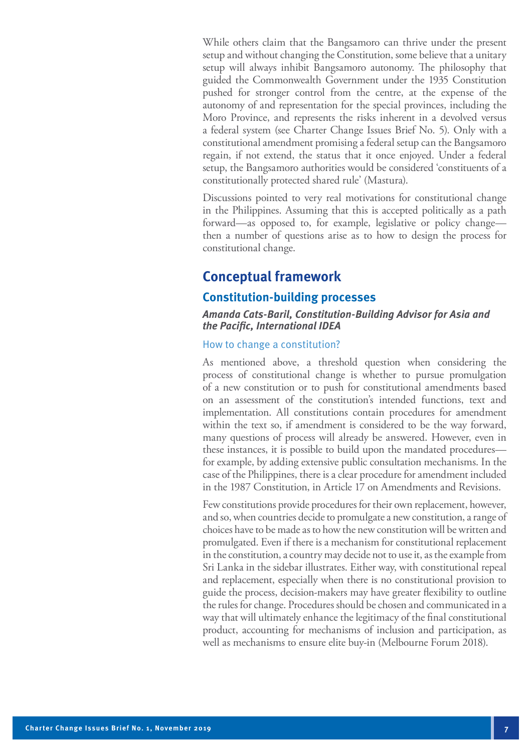While others claim that the Bangsamoro can thrive under the present setup and without changing the Constitution, some believe that a unitary setup will always inhibit Bangsamoro autonomy. The philosophy that guided the Commonwealth Government under the 1935 Constitution pushed for stronger control from the centre, at the expense of the autonomy of and representation for the special provinces, including the Moro Province, and represents the risks inherent in a devolved versus a federal system (see Charter Change Issues Brief No. 5). Only with a constitutional amendment promising a federal setup can the Bangsamoro regain, if not extend, the status that it once enjoyed. Under a federal setup, the Bangsamoro authorities would be considered 'constituents of a constitutionally protected shared rule' (Mastura).

Discussions pointed to very real motivations for constitutional change in the Philippines. Assuming that this is accepted politically as a path forward—as opposed to, for example, legislative or policy change then a number of questions arise as to how to design the process for constitutional change.

# **Conceptual framework**

#### **Constitution-building processes**

#### **Amanda Cats-Baril, Constitution-Building Advisor for Asia and the Pacific, International IDEA**

#### How to change a constitution?

As mentioned above, a threshold question when considering the process of constitutional change is whether to pursue promulgation of a new constitution or to push for constitutional amendments based on an assessment of the constitution's intended functions, text and implementation. All constitutions contain procedures for amendment within the text so, if amendment is considered to be the way forward, many questions of process will already be answered. However, even in these instances, it is possible to build upon the mandated procedures for example, by adding extensive public consultation mechanisms. In the case of the Philippines, there is a clear procedure for amendment included in the 1987 Constitution, in Article 17 on Amendments and Revisions.

Few constitutions provide procedures for their own replacement, however, and so, when countries decide to promulgate a new constitution, a range of choices have to be made as to how the new constitution will be written and promulgated. Even if there is a mechanism for constitutional replacement in the constitution, a country may decide not to use it, as the example from Sri Lanka in the sidebar illustrates. Either way, with constitutional repeal and replacement, especially when there is no constitutional provision to guide the process, decision-makers may have greater flexibility to outline the rules for change. Procedures should be chosen and communicated in a way that will ultimately enhance the legitimacy of the final constitutional product, accounting for mechanisms of inclusion and participation, as well as mechanisms to ensure elite buy-in (Melbourne Forum 2018).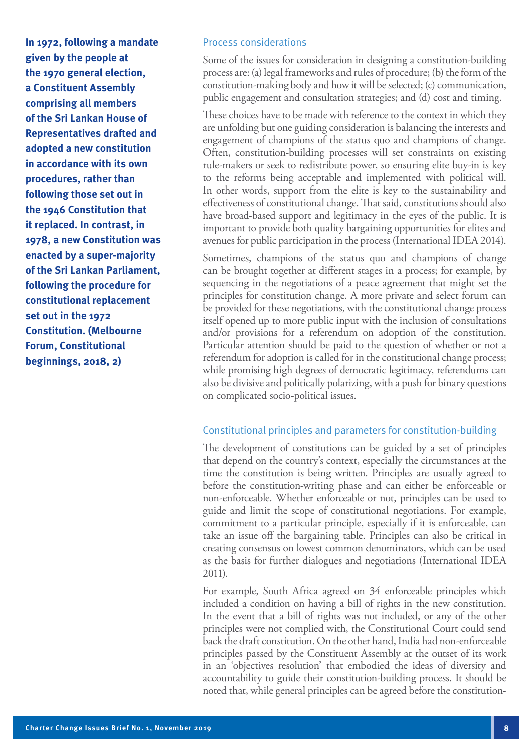**In 1972, following a mandate given by the people at the 1970 general election, a Constituent Assembly comprising all members of the Sri Lankan House of Representatives drafted and adopted a new constitution in accordance with its own procedures, rather than following those set out in the 1946 Constitution that it replaced. In contrast, in 1978, a new Constitution was enacted by a super-majority of the Sri Lankan Parliament, following the procedure for constitutional replacement set out in the 1972 Constitution. (Melbourne Forum, Constitutional beginnings, 2018, 2)**

#### Process considerations

Some of the issues for consideration in designing a constitution-building process are: (a) legal frameworks and rules of procedure; (b) the form of the constitution-making body and how it will be selected; (c) communication, public engagement and consultation strategies; and (d) cost and timing.

These choices have to be made with reference to the context in which they are unfolding but one guiding consideration is balancing the interests and engagement of champions of the status quo and champions of change. Often, constitution-building processes will set constraints on existing rule-makers or seek to redistribute power, so ensuring elite buy-in is key to the reforms being acceptable and implemented with political will. In other words, support from the elite is key to the sustainability and effectiveness of constitutional change. That said, constitutions should also have broad-based support and legitimacy in the eyes of the public. It is important to provide both quality bargaining opportunities for elites and avenues for public participation in the process (International IDEA 2014).

Sometimes, champions of the status quo and champions of change can be brought together at different stages in a process; for example, by sequencing in the negotiations of a peace agreement that might set the principles for constitution change. A more private and select forum can be provided for these negotiations, with the constitutional change process itself opened up to more public input with the inclusion of consultations and/or provisions for a referendum on adoption of the constitution. Particular attention should be paid to the question of whether or not a referendum for adoption is called for in the constitutional change process; while promising high degrees of democratic legitimacy, referendums can also be divisive and politically polarizing, with a push for binary questions on complicated socio-political issues.

#### Constitutional principles and parameters for constitution-building

The development of constitutions can be guided by a set of principles that depend on the country's context, especially the circumstances at the time the constitution is being written. Principles are usually agreed to before the constitution-writing phase and can either be enforceable or non-enforceable. Whether enforceable or not, principles can be used to guide and limit the scope of constitutional negotiations. For example, commitment to a particular principle, especially if it is enforceable, can take an issue off the bargaining table. Principles can also be critical in creating consensus on lowest common denominators, which can be used as the basis for further dialogues and negotiations (International IDEA 2011).

For example, South Africa agreed on 34 enforceable principles which included a condition on having a bill of rights in the new constitution. In the event that a bill of rights was not included, or any of the other principles were not complied with, the Constitutional Court could send back the draft constitution. On the other hand, India had non-enforceable principles passed by the Constituent Assembly at the outset of its work in an 'objectives resolution' that embodied the ideas of diversity and accountability to guide their constitution-building process. It should be noted that, while general principles can be agreed before the constitution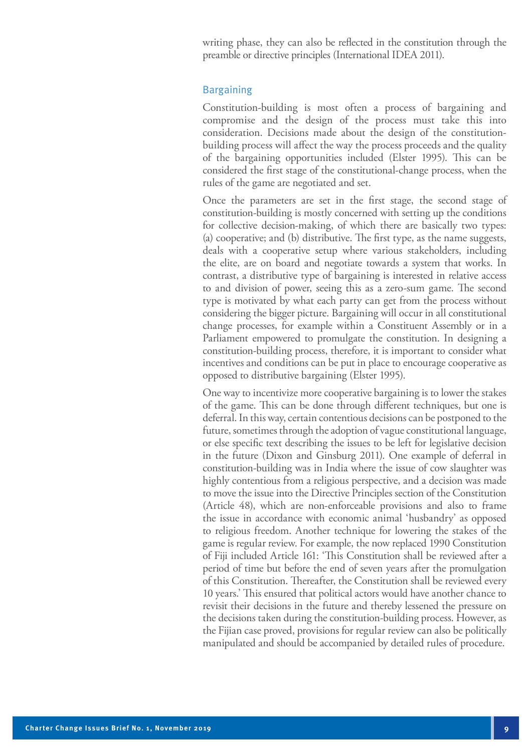writing phase, they can also be reflected in the constitution through the preamble or directive principles (International IDEA 2011).

#### Bargaining

Constitution-building is most often a process of bargaining and compromise and the design of the process must take this into consideration. Decisions made about the design of the constitutionbuilding process will affect the way the process proceeds and the quality of the bargaining opportunities included (Elster 1995). This can be considered the first stage of the constitutional-change process, when the rules of the game are negotiated and set.

Once the parameters are set in the first stage, the second stage of constitution-building is mostly concerned with setting up the conditions for collective decision-making, of which there are basically two types: (a) cooperative; and (b) distributive. The first type, as the name suggests, deals with a cooperative setup where various stakeholders, including the elite, are on board and negotiate towards a system that works. In contrast, a distributive type of bargaining is interested in relative access to and division of power, seeing this as a zero-sum game. The second type is motivated by what each party can get from the process without considering the bigger picture. Bargaining will occur in all constitutional change processes, for example within a Constituent Assembly or in a Parliament empowered to promulgate the constitution. In designing a constitution-building process, therefore, it is important to consider what incentives and conditions can be put in place to encourage cooperative as opposed to distributive bargaining (Elster 1995).

One way to incentivize more cooperative bargaining is to lower the stakes of the game. This can be done through different techniques, but one is deferral. In this way, certain contentious decisions can be postponed to the future, sometimes through the adoption of vague constitutional language, or else specific text describing the issues to be left for legislative decision in the future (Dixon and Ginsburg 2011). One example of deferral in constitution-building was in India where the issue of cow slaughter was highly contentious from a religious perspective, and a decision was made to move the issue into the Directive Principles section of the Constitution (Article 48), which are non-enforceable provisions and also to frame the issue in accordance with economic animal 'husbandry' as opposed to religious freedom. Another technique for lowering the stakes of the game is regular review. For example, the now replaced 1990 Constitution of Fiji included Article 161: 'This Constitution shall be reviewed after a period of time but before the end of seven years after the promulgation of this Constitution. Thereafter, the Constitution shall be reviewed every 10 years.' This ensured that political actors would have another chance to revisit their decisions in the future and thereby lessened the pressure on the decisions taken during the constitution-building process. However, as the Fijian case proved, provisions for regular review can also be politically manipulated and should be accompanied by detailed rules of procedure.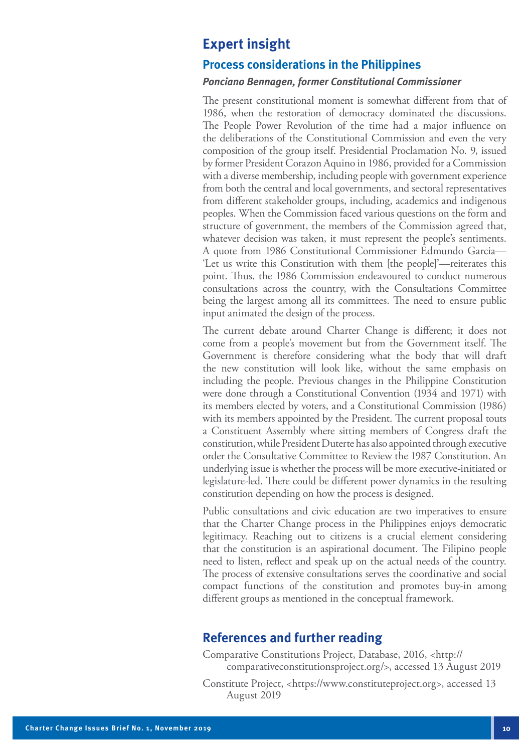# **Expert insight**

#### **Process considerations in the Philippines**

#### **Ponciano Bennagen, former Constitutional Commissioner**

The present constitutional moment is somewhat different from that of 1986, when the restoration of democracy dominated the discussions. The People Power Revolution of the time had a major influence on the deliberations of the Constitutional Commission and even the very composition of the group itself. Presidential Proclamation No. 9, issued by former President Corazon Aquino in 1986, provided for a Commission with a diverse membership, including people with government experience from both the central and local governments, and sectoral representatives from different stakeholder groups, including, academics and indigenous peoples. When the Commission faced various questions on the form and structure of government, the members of the Commission agreed that, whatever decision was taken, it must represent the people's sentiments. A quote from 1986 Constitutional Commissioner Edmundo Garcia— 'Let us write this Constitution with them [the people]'—reiterates this point. Thus, the 1986 Commission endeavoured to conduct numerous consultations across the country, with the Consultations Committee being the largest among all its committees. The need to ensure public input animated the design of the process.

The current debate around Charter Change is different; it does not come from a people's movement but from the Government itself. The Government is therefore considering what the body that will draft the new constitution will look like, without the same emphasis on including the people. Previous changes in the Philippine Constitution were done through a Constitutional Convention (1934 and 1971) with its members elected by voters, and a Constitutional Commission (1986) with its members appointed by the President. The current proposal touts a Constituent Assembly where sitting members of Congress draft the constitution, while President Duterte has also appointed through executive order the Consultative Committee to Review the 1987 Constitution. An underlying issue is whether the process will be more executive-initiated or legislature-led. There could be different power dynamics in the resulting constitution depending on how the process is designed.

Public consultations and civic education are two imperatives to ensure that the Charter Change process in the Philippines enjoys democratic legitimacy. Reaching out to citizens is a crucial element considering that the constitution is an aspirational document. The Filipino people need to listen, reflect and speak up on the actual needs of the country. The process of extensive consultations serves the coordinative and social compact functions of the constitution and promotes buy-in among different groups as mentioned in the conceptual framework.

## **References and further reading**

Comparative Constitutions Project, Database, 2016, <http:// comparativeconstitutionsproject.org/>, accessed 13 August 2019

Constitute Project, <https://www.constituteproject.org>, accessed 13 August 2019